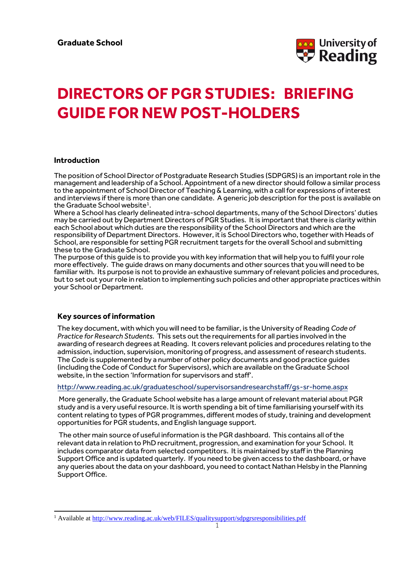

# **DIRECTORS OF PGR STUDIES: BRIEFING GUIDE FOR NEW POST-HOLDERS**

## **Introduction**

The position of School Director of Postgraduate Research Studies (SDPGRS) is an important role in the management and leadership of a School. Appointment of a new director should follow a similar process to the appointment of School Director of Teaching & Learning, with a call for expressions of interest and interviews if there is more than one candidate. A generic job description for the post is available on the Graduate School website<sup>1</sup>.

Where a School has clearly delineated intra-school departments, many of the School Directors' duties may be carried out by Department Directors of PGR Studies. It is important that there is clarity within each School about which duties are the responsibility of the School Directors and which are the responsibility of Department Directors. However, it is School Directors who, together with Heads of School, are responsible for setting PGR recruitment targets for the overall School and submitting these to the Graduate School.

The purpose of this guide is to provide you with key information that will help you to fulfil your role more effectively. The guide draws on many documents and other sources that you will need to be familiar with. Its purpose is not to provide an exhaustive summary of relevant policies and procedures, but to set out your role in relation to implementing such policies and other appropriate practices within your School or Department.

## **Key sources of information**

l

The key document, with which you will need to be familiar, is the University of Reading *Code of Practice for Research Students.* This sets out the requirements for all parties involved in the awarding of research degrees at Reading. It covers relevant policies and procedures relating to the admission, induction, supervision, monitoring of progress, and assessment of research students. The *Code* is supplemented by a number of other policy documents and good practice guides (including the Code of Conduct for Supervisors), which are available on the Graduate School website, in the section 'Information for supervisors and staff'.

<http://www.reading.ac.uk/graduateschool/supervisorsandresearchstaff/gs-sr-home.aspx>

More generally, the Graduate School website has a large amount of relevant material about PGR study and is a very useful resource. It is worth spending a bit of time familiarising yourself with its content relating to types of PGR programmes, different modes of study, training and development opportunities for PGR students, and English language support.

The other main source of useful information is the PGR dashboard. This contains all of the relevant data in relation to PhD recruitment, progression, and examination for your School. It includes comparator data from selected competitors. It is maintained by staff in the Planning Support Office and is updated quarterly. If you need to be given access to the dashboard, or have any queries about the data on your dashboard, you need to contact Nathan Helsby in the Planning Support Office.

<sup>1</sup> Available at<http://www.reading.ac.uk/web/FILES/qualitysupport/sdpgrsresponsibilities.pdf>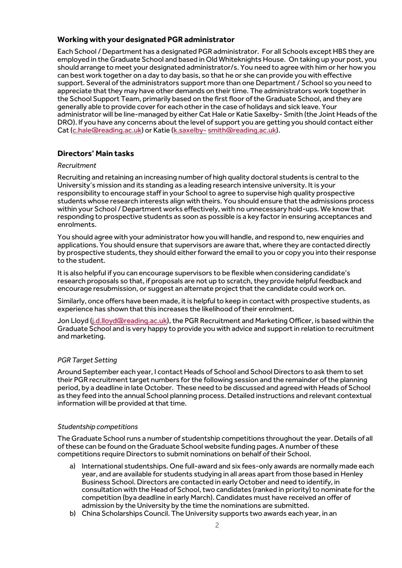## **Working with your designated PGR administrator**

Each School / Department has a designated PGR administrator. For all Schools except HBS they are employed in the Graduate School and based in Old Whiteknights House. On taking up your post, you should arrange to meet your designated administrator/s. You need to agree with him or her how you can best work together on a day to day basis, so that he or she can provide you with effective support. Several of the administrators support more than one Department / School so you need to appreciate that they may have other demands on their time. The administrators work together in the School Support Team, primarily based on the first floor of the Graduate School, and they are generally able to provide cover for each other in the case of holidays and sick leave. Your administrator will be line-managed by either Cat Hale or Katie Saxelby- Smith (the Joint Heads of the DRO). If you have any concerns about the level of support you are getting you should contact either Cat [\(c.hale@reading.ac.uk\)](mailto:c.hale@reading.ac.uk) or Katie [\(k.saxelby-](mailto:k.saxelby-smith@reading.ac.uk) [smith@reading.ac.uk\)](mailto:k.saxelby-smith@reading.ac.uk).

## **Directors' Main tasks**

## *Recruitment*

Recruiting and retaining an increasing number of high quality doctoral students is central to the University's mission and its standing as a leading research intensive university. It is your responsibility to encourage staff in your School to agree to supervise high quality prospective students whose research interests align with theirs. You should ensure that the admissions process within your School / Department works effectively, with no unnecessary hold-ups. We know that responding to prospective students as soon as possible is a key factor in ensuring acceptances and enrolments.

You should agree with your administrator how you will handle, and respond to, new enquiries and applications. You should ensure that supervisors are aware that, where they are contacted directly by prospective students, they should either forward the email to you or copy you into their response to the student.

It is also helpful if you can encourage supervisors to be flexible when considering candidate's research proposals so that, if proposals are not up to scratch, they provide helpful feedback and encourage resubmission, or suggest an alternate project that the candidate could work on.

Similarly, once offers have been made, it is helpful to keep in contact with prospective students, as experience has shown that this increases the likelihood of their enrolment.

Jon Lloyd [\(j.d.lloyd@reading.ac.uk\)](mailto:j.d.lloyd@reading.ac.uk), the PGR Recruitment and Marketing Officer, is based within the Graduate School and is very happy to provide you with advice and supportin relation to recruitment and marketing.

## *PGR Target Setting*

Around September each year, I contact Heads of School and School Directors to ask them to set their PGR recruitment target numbers for the following session and the remainder of the planning period, by a deadline in late October. These need to be discussed and agreed with Heads of School as they feed into the annual School planning process. Detailed instructions and relevant contextual information will be provided at that time.

## *Studentship competitions*

The Graduate School runs a number of studentship competitions throughout the year. Details of all of these can be found on the Graduate School website funding pages. A number of these competitions require Directors to submit nominations on behalf of their School.

- a) International studentships. One full-award and six fees-only awards are normally made each year, and are available for students studying in all areas apart from those based in Henley Business School. Directors are contacted in early October and need to identify, in consultation with the Head of School, two candidates (ranked in priority) to nominate for the competition (bya deadline in early March). Candidates must have received an offer of admission by the University by the time the nominations are submitted.
- b) China Scholarships Council. The University supports two awards each year, in an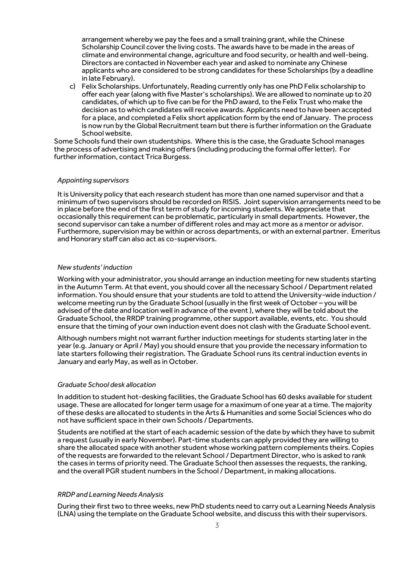arrangement whereby we pay the fees and a small training grant, while the Chinese Scholarship Council cover the living costs. The awards have to be made in the areas of climate and environmental change, agriculture and food security, or health and well-being. Directors are contacted in November each year and asked to nominate any Chinese applicants who are considered to be strong candidates for these Scholarships (by a deadline in late February).

c) Felix Scholarships. Unfortunately, Reading currently only has one PhD Felix scholarship to offer each year (along with five Master's scholarships). We are allowed to nominate up to 20 candidates, of which up to five can be for the PhD award, to the Felix Trust who make the decision as to which candidates will receive awards. Applicants need to have been accepted for a place, and completed a Felix short application form by the end of January. The process is now run by the Global Recruitment team but there is further information on the Graduate School website.

Some Schools fund their own studentships. Where this is the case, the Graduate School manages the process of advertising and making offers (including producing the formal offer letter). For further information, contact Trica Burgess.

#### *Appointing supervisors*

It is University policy that each research student has more than one named supervisor and that a minimum of two supervisors should be recorded on RISIS. Joint supervision arrangements need to be in place before the end of the first term of study for incoming students. We appreciate that occasionally this requirement can be problematic, particularly in small departments. However, the second supervisor can take a number of different roles and may act more as a mentor or advisor. Furthermore, supervision may be within or across departments, or with an external partner. Emeritus and Honorary staff can also act as co-supervisors.

#### *New students' induction*

Working with your administrator, you should arrange an induction meeting for new students starting in the Autumn Term. At that event, you should cover all the necessary School / Department related information. You should ensure that your students are told to attend the University-wide induction / welcome meeting run by the Graduate School (usually in the first week of October – you will be advised ofthe date and location well in advance of the event ), where they will be told about the Graduate School, the RRDP training programme, other support available, events, etc. You should ensure that the timing of your own induction event does not clash with the Graduate School event.

Although numbers might not warrant further induction meetings for students starting later in the year (e.g. January or April / May) you should ensure that you provide the necessary information to late starters following their registration. The Graduate School runs its central induction events in January and early May, as well as in October.

#### *Graduate School desk allocation*

In addition to student hot-desking facilities, the Graduate School has 60 desks available for student usage. These are allocated for longer term usage for a maximum of one year at a time. The majority of these desks are allocated to students in the Arts & Humanities and some Social Sciences who do not have sufficient space in their own Schools / Departments.

Students are notified at the start of each academic session of the date by which they have to submit a request (usually in early November). Part-time students can apply provided they are willing to share the allocated space with another student whose working pattern complements theirs. Copies of the requests are forwarded to the relevant School / Department Director, who is asked to rank the cases in terms of priority need. The Graduate School then assesses the requests, the ranking, and the overall PGR student numbers in the School / Department, in making allocations.

## *RRDP and Learning Needs Analysis*

During their first two to three weeks, new PhD students need to carry out a Learning Needs Analysis (LNA) using the template on the Graduate School website, and discuss this with their supervisors.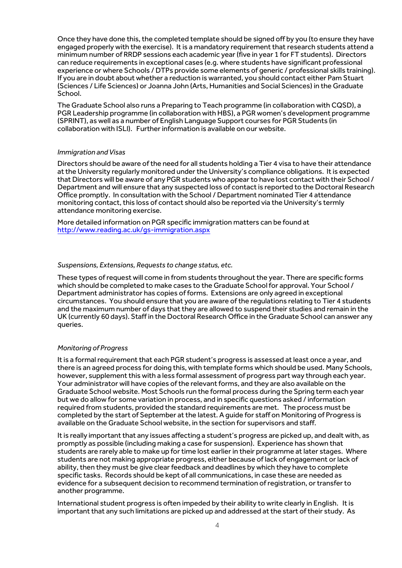Once they have done this, the completed template should be signed off by you (to ensure they have engaged properly with the exercise). It is a mandatory requirement that research students attend a minimum number of RRDP sessions each academic year (five in year 1 for FT students). Directors can reduce requirements in exceptional cases (e.g. where students have significant professional experience or where Schools / DTPs provide some elements of generic / professional skills training). If you are in doubt about whether a reduction is warranted, you should contact either Pam Stuart (Sciences / Life Sciences) or Joanna John (Arts, Humanities and Social Sciences) in the Graduate School.

The Graduate School also runs a Preparing to Teach programme (in collaboration with CQSD), a PGR Leadership programme (in collaboration with HBS), a PGR women's development programme (SPRINT), as well as a number of English Language Support courses for PGR Students (in collaboration with ISLI). Further information is available on our website.

#### *Immigration and Visas*

Directors should be aware of the need for all students holding a Tier 4 visa to have their attendance at the University regularly monitored under the University's compliance obligations. It is expected that Directors will be aware of any PGR students who appear to have lost contact with their School / Department and will ensure that any suspected loss of contact is reported to the Doctoral Research Office promptly. In consultation with the School / Department nominated Tier 4 attendance monitoring contact, this loss of contact should also be reported via the University's termly attendance monitoring exercise.

More detailed information on PGR specific immigration matters can be found at <http://www.reading.ac.uk/gs-immigration.aspx>

#### *Suspensions, Extensions, Requests to change status, etc.*

These types of request will come in from students throughout the year. There are specific forms which should be completed to make cases to the Graduate School for approval. Your School / Department administrator has copies of forms. Extensions are only agreed in exceptional circumstances. You should ensure that you are aware of the regulations relating to Tier 4 students and the maximum number of days that they are allowed to suspend their studies and remain in the UK (currently 60 days). Staff in the Doctoral Research Office in the Graduate School can answer any queries.

#### *Monitoring of Progress*

It is a formal requirement that each PGR student's progress is assessed at least once a year, and there is an agreed process for doing this, with template forms which should be used. Many Schools, however, supplement this with a less formal assessment of progress part way through each year. Your administrator will have copies of the relevant forms, and they are also available on the Graduate School website. Most Schools run the formal process during the Spring term each year but we do allow for some variation in process, and in specific questions asked / information required from students, provided the standard requirements are met. The process must be completed by the start of September at the latest. A guide for staff on Monitoring of Progress is available on the Graduate School website, in the section for supervisors and staff.

It is really important that any issues affecting a student's progress are picked up, and dealt with, as promptly as possible (including making a case for suspension). Experience has shown that students are rarely able to make up for time lost earlier in their programme at later stages. Where students are not making appropriate progress, either because of lack of engagement or lack of ability, then they must be give clear feedback and deadlines by which they have to complete specific tasks. Records should be kept of all communications, in case these are needed as evidence for a subsequent decision to recommend termination of registration, or transfer to another programme.

International student progress is often impeded by their ability to write clearly in English. It is important that any such limitations are picked up and addressed at the start of their study. As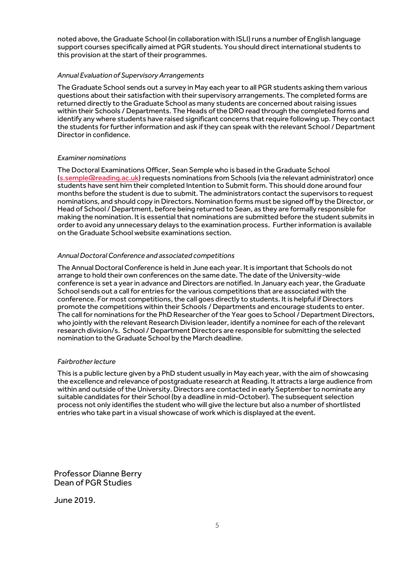noted above, the Graduate School (in collaboration with ISLI) runs a number of English language support courses specifically aimed at PGR students. You should direct international students to this provision at the start of their programmes.

### *Annual Evaluation of Supervisory Arrangements*

The Graduate School sends out a survey in May each year to all PGR students asking them various questions about their satisfaction with their supervisory arrangements. The completed forms are returned directly to the Graduate School as many students are concerned about raising issues within their Schools / Departments. The Heads of the DRO read through the completed forms and identify any where students have raised significant concerns that require following up. They contact the students for further information and ask if they can speak with the relevant School / Department Director in confidence.

## *Examiner nominations*

The Doctoral Examinations Officer, Sean Semple who is based in the Graduate School [\(s.semple@reading.ac.uk\)](mailto:s.semple@reading.ac.uk) requests nominations from Schools (via the relevant administrator) once students have sent him their completed Intention to Submit form. This should done around four months before the student is due to submit. The administrators contact the supervisors to request nominations, and should copy in Directors. Nomination forms must be signed off by the Director, or Head of School / Department, before being returned to Sean, as they are formally responsible for making the nomination. It is essential that nominations are submitted before the student submits in order to avoid any unnecessary delays to the examination process. Further information is available on the Graduate School website examinations section.

#### *Annual Doctoral Conference and associated competitions*

The Annual Doctoral Conference is held in June each year. It is important that Schools do not arrange to hold their own conferences on the same date. The date of the University-wide conference is set a year in advance and Directors are notified. In January each year, the Graduate School sends out a call for entries for the various competitions that are associated with the conference. For most competitions, the call goes directly to students. It is helpful if Directors promote the competitions within their Schools / Departments and encourage students to enter. The call for nominations for the PhD Researcher of the Year goes to School / Department Directors, who jointly with the relevant Research Division leader, identify a nominee for each of the relevant research division/s. School / Department Directors are responsible for submitting the selected nomination to the Graduate School by the March deadline.

## *Fairbrother lecture*

This is a public lecture given by a PhD student usually in May each year, with the aim of showcasing the excellence and relevance of postgraduate research at Reading. It attracts a large audience from within and outside of the University. Directors are contacted in early September to nominate any suitable candidates for their School (by a deadline in mid-October). The subsequent selection process not only identifies the student who will give the lecture but also a number of shortlisted entries who take part in a visual showcase of work which is displayed at the event.

Professor Dianne Berry Dean of PGR Studies

June 2019.